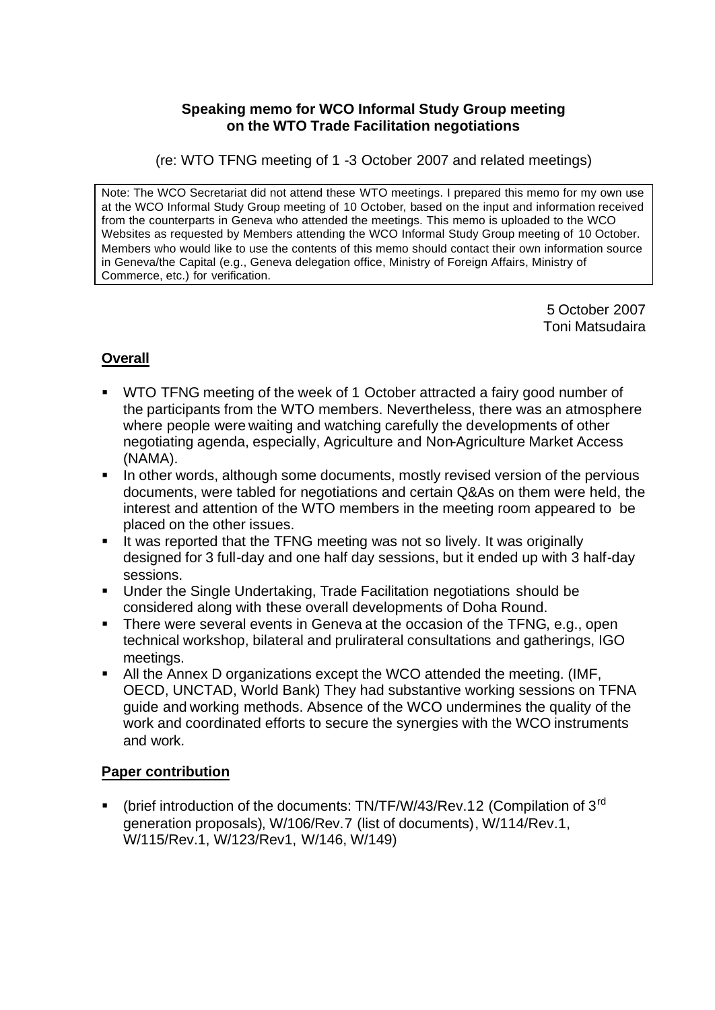#### **Speaking memo for WCO Informal Study Group meeting on the WTO Trade Facilitation negotiations**

(re: WTO TFNG meeting of 1 -3 October 2007 and related meetings)

Note: The WCO Secretariat did not attend these WTO meetings. I prepared this memo for my own use at the WCO Informal Study Group meeting of 10 October, based on the input and information received from the counterparts in Geneva who attended the meetings. This memo is uploaded to the WCO Websites as requested by Members attending the WCO Informal Study Group meeting of 10 October. Members who would like to use the contents of this memo should contact their own information source in Geneva/the Capital (e.g., Geneva delegation office, Ministry of Foreign Affairs, Ministry of Commerce, etc.) for verification.

> 5 October 2007 Toni Matsudaira

### **Overall**

- ß WTO TFNG meeting of the week of 1 October attracted a fairy good number of the participants from the WTO members. Nevertheless, there was an atmosphere where people were waiting and watching carefully the developments of other negotiating agenda, especially, Agriculture and Non-Agriculture Market Access (NAMA).
- ß In other words, although some documents, mostly revised version of the pervious documents, were tabled for negotiations and certain Q&As on them were held, the interest and attention of the WTO members in the meeting room appeared to be placed on the other issues.
- **If was reported that the TFNG meeting was not so lively. It was originally** designed for 3 full-day and one half day sessions, but it ended up with 3 half-day sessions.
- **Under the Single Undertaking, Trade Facilitation negotiations should be** considered along with these overall developments of Doha Round.
- There were several events in Geneva at the occasion of the TFNG, e.g., open technical workshop, bilateral and prulirateral consultations and gatherings, IGO meetings.
- All the Annex D organizations except the WCO attended the meeting. (IMF, OECD, UNCTAD, World Bank) They had substantive working sessions on TFNA guide and working methods. Absence of the WCO undermines the quality of the work and coordinated efforts to secure the synergies with the WCO instruments and work.

### **Paper contribution**

• (brief introduction of the documents: TN/TF/W/43/Rev.12 (Compilation of 3<sup>rd</sup>) generation proposals), W/106/Rev.7 (list of documents), W/114/Rev.1, W/115/Rev.1, W/123/Rev1, W/146, W/149)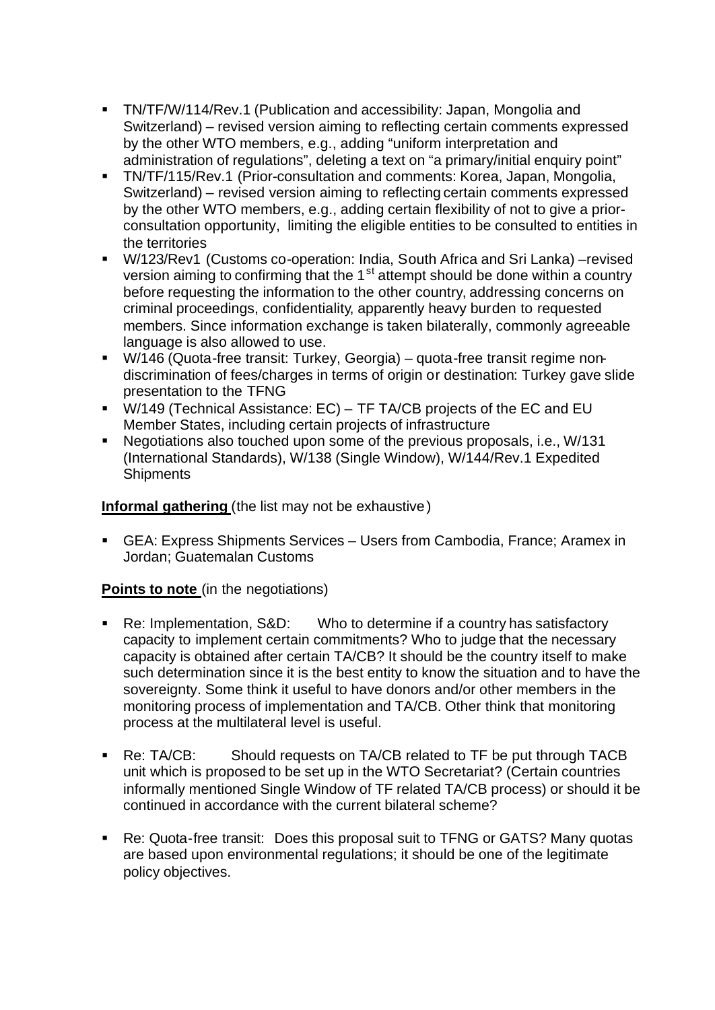- **TN/TF/W/114/Rev.1 (Publication and accessibility: Japan, Mongolia and** Switzerland) – revised version aiming to reflecting certain comments expressed by the other WTO members, e.g., adding "uniform interpretation and administration of regulations", deleting a text on "a primary/initial enquiry point"
- **TN/TF/115/Rev.1 (Prior-consultation and comments: Korea, Japan, Mongolia,** Switzerland) – revised version aiming to reflecting certain comments expressed by the other WTO members, e.g., adding certain flexibility of not to give a priorconsultation opportunity, limiting the eligible entities to be consulted to entities in the territories
- W/123/Rev1 (Customs co-operation: India, South Africa and Sri Lanka) –revised version aiming to confirming that the 1<sup>st</sup> attempt should be done within a country before requesting the information to the other country, addressing concerns on criminal proceedings, confidentiality, apparently heavy burden to requested members. Since information exchange is taken bilaterally, commonly agreeable language is also allowed to use.
- W/146 (Quota-free transit: Turkey, Georgia) quota-free transit regime nondiscrimination of fees/charges in terms of origin or destination: Turkey gave slide presentation to the TFNG
- W/149 (Technical Assistance: EC) TF TA/CB projects of the EC and EU Member States, including certain projects of infrastructure
- ß Negotiations also touched upon some of the previous proposals, i.e., W/131 (International Standards), W/138 (Single Window), W/144/Rev.1 Expedited **Shipments**

**Informal gathering** (the list may not be exhaustive)

■ GEA: Express Shipments Services – Users from Cambodia, France; Aramex in Jordan; Guatemalan Customs

### **Points to note** (in the negotiations)

- ß Re: Implementation, S&D: Who to determine if a country has satisfactory capacity to implement certain commitments? Who to judge that the necessary capacity is obtained after certain TA/CB? It should be the country itself to make such determination since it is the best entity to know the situation and to have the sovereignty. Some think it useful to have donors and/or other members in the monitoring process of implementation and TA/CB. Other think that monitoring process at the multilateral level is useful.
- ß Re: TA/CB: Should requests on TA/CB related to TF be put through TACB unit which is proposed to be set up in the WTO Secretariat? (Certain countries informally mentioned Single Window of TF related TA/CB process) or should it be continued in accordance with the current bilateral scheme?
- ß Re: Quota-free transit: Does this proposal suit to TFNG or GATS? Many quotas are based upon environmental regulations; it should be one of the legitimate policy objectives.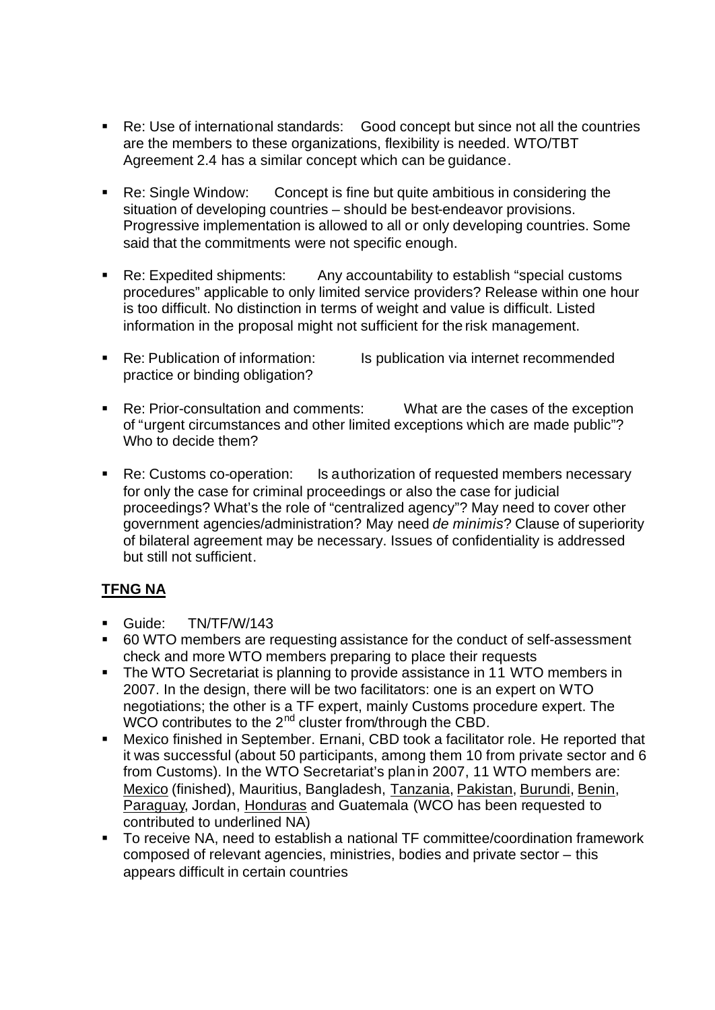- Re: Use of international standards: Good concept but since not all the countries are the members to these organizations, flexibility is needed. WTO/TBT Agreement 2.4 has a similar concept which can be guidance.
- Re: Single Window: Concept is fine but quite ambitious in considering the situation of developing countries – should be best-endeavor provisions. Progressive implementation is allowed to all or only developing countries. Some said that the commitments were not specific enough.
- Re: Expedited shipments: Any accountability to establish "special customs" procedures" applicable to only limited service providers? Release within one hour is too difficult. No distinction in terms of weight and value is difficult. Listed information in the proposal might not sufficient for the risk management.
- Re: Publication of information: Is publication via internet recommended practice or binding obligation?
- Re: Prior-consultation and comments: What are the cases of the exception of "urgent circumstances and other limited exceptions which are made public"? Who to decide them?
- Re: Customs co-operation: Is authorization of requested members necessary for only the case for criminal proceedings or also the case for judicial proceedings? What's the role of "centralized agency"? May need to cover other government agencies/administration? May need *de minimis*? Clause of superiority of bilateral agreement may be necessary. Issues of confidentiality is addressed but still not sufficient.

# **TFNG NA**

- Guide: TN/TF/W/143
- 60 WTO members are requesting assistance for the conduct of self-assessment check and more WTO members preparing to place their requests
- The WTO Secretariat is planning to provide assistance in 11 WTO members in 2007. In the design, there will be two facilitators: one is an expert on WTO negotiations; the other is a TF expert, mainly Customs procedure expert. The WCO contributes to the  $2^{nd}$  cluster from/through the CBD.
- **Mexico finished in September. Ernani, CBD took a facilitator role. He reported that** it was successful (about 50 participants, among them 10 from private sector and 6 from Customs). In the WTO Secretariat's plan in 2007, 11 WTO members are: Mexico (finished), Mauritius, Bangladesh, Tanzania, Pakistan, Burundi, Benin, Paraguay, Jordan, Honduras and Guatemala (WCO has been requested to contributed to underlined NA)
- ß To receive NA, need to establish a national TF committee/coordination framework composed of relevant agencies, ministries, bodies and private sector – this appears difficult in certain countries